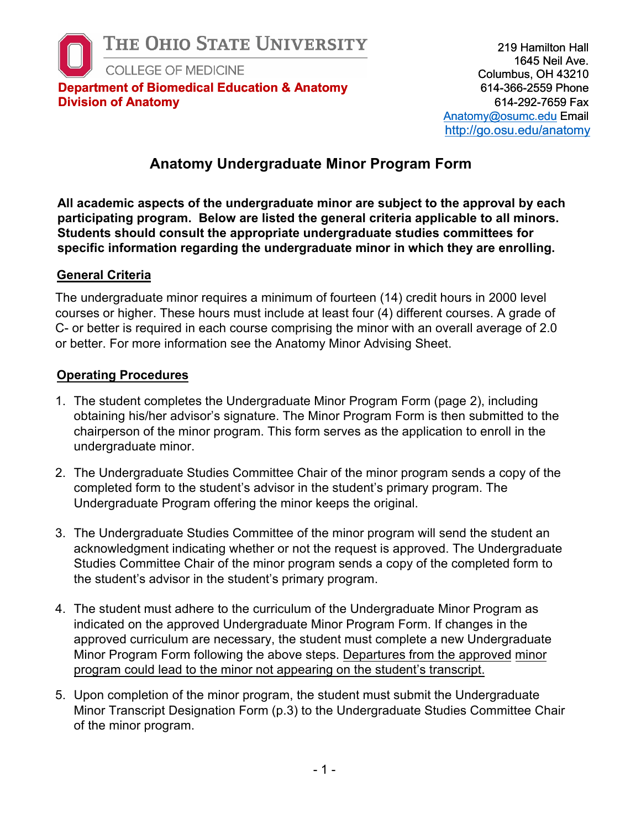

## **Anatomy Undergraduate Minor Program Form**

**All academic aspects of the undergraduate minor are subject to the approval by each participating program. Below are listed the general criteria applicable to all minors. Students should consult the appropriate undergraduate studies committees for specific information regarding the undergraduate minor in which they are enrolling.** 

## **General Criteria**

The undergraduate minor requires a minimum of fourteen (14) credit hours in 2000 level courses or higher. These hours must include at least four (4) different courses. A grade of C- or better is required in each course comprising the minor with an overall average of 2.0 or better. For more information see the Anatomy Minor Advising Sheet.

## **Operating Procedures**

- 1. The student completes the Undergraduate Minor Program Form (page 2), including obtaining his/her advisor's signature. The Minor Program Form is then submitted to the chairperson of the minor program. This form serves as the application to enroll in the undergraduate minor.
- 2. The Undergraduate Studies Committee Chair of the minor program sends a copy of the completed form to the student's advisor in the student's primary program. The Undergraduate Program offering the minor keeps the original.
- 3. The Undergraduate Studies Committee of the minor program will send the student an acknowledgment indicating whether or not the request is approved. The Undergraduate Studies Committee Chair of the minor program sends a copy of the completed form to the student's advisor in the student's primary program.
- 4. The student must adhere to the curriculum of the Undergraduate Minor Program as indicated on the approved Undergraduate Minor Program Form. If changes in the approved curriculum are necessary, the student must complete a new Undergraduate Minor Program Form following the above steps. Departures from the approved minor program could lead to the minor not appearing on the student's transcript.
- 5. Upon completion of the minor program, the student must submit the Undergraduate Minor Transcript Designation Form (p.3) to the Undergraduate Studies Committee Chair of the minor program.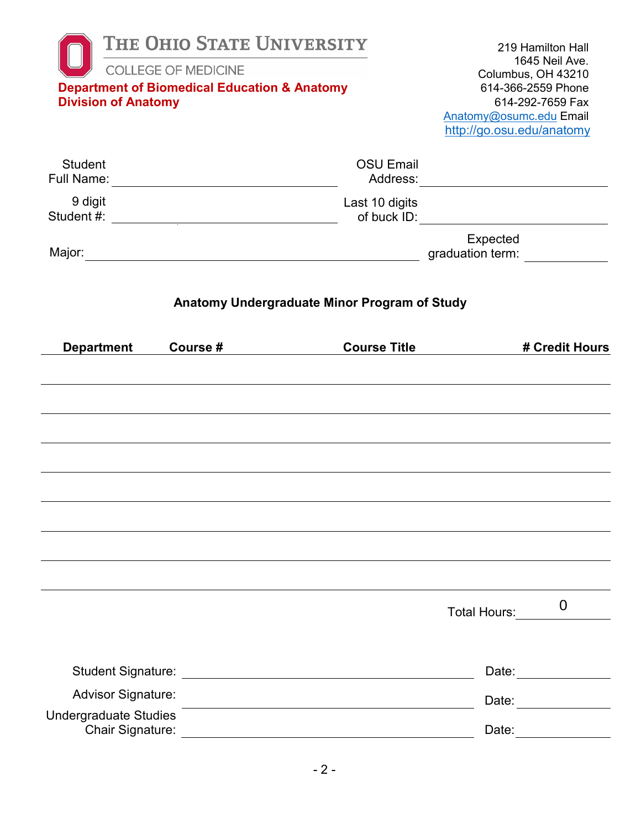| <b>Division of Anatomy</b>                       | THE OHIO STATE UNIVERSITY<br><b>COLLEGE OF MEDICINE</b><br><b>Department of Biomedical Education &amp; Anatomy</b>   |                              | 219 Hamilton Hall<br>1645 Neil Ave.<br>Columbus, OH 43210<br>614-366-2559 Phone<br>614-292-7659 Fax<br>Anatomy@osumc.edu Email<br>http://go.osu.edu/anatomy |
|--------------------------------------------------|----------------------------------------------------------------------------------------------------------------------|------------------------------|-------------------------------------------------------------------------------------------------------------------------------------------------------------|
| <b>Student</b>                                   |                                                                                                                      | <b>OSU Email</b><br>Address: | <u> 1989 - Johann Stein, fransk politiker (</u>                                                                                                             |
| 9 digit                                          |                                                                                                                      | Last 10 digits               |                                                                                                                                                             |
|                                                  |                                                                                                                      |                              | Expected<br>graduation term:                                                                                                                                |
|                                                  | Anatomy Undergraduate Minor Program of Study                                                                         |                              |                                                                                                                                                             |
| <b>Department</b>                                | Course #                                                                                                             | <b>Course Title</b>          | # Credit Hours                                                                                                                                              |
|                                                  |                                                                                                                      |                              |                                                                                                                                                             |
|                                                  |                                                                                                                      |                              |                                                                                                                                                             |
|                                                  |                                                                                                                      |                              |                                                                                                                                                             |
|                                                  |                                                                                                                      |                              |                                                                                                                                                             |
|                                                  |                                                                                                                      |                              |                                                                                                                                                             |
|                                                  |                                                                                                                      |                              |                                                                                                                                                             |
|                                                  |                                                                                                                      |                              |                                                                                                                                                             |
|                                                  |                                                                                                                      |                              |                                                                                                                                                             |
|                                                  |                                                                                                                      |                              | $\boldsymbol{0}$<br>Total Hours:                                                                                                                            |
| <b>Student Signature:</b>                        | <u> 1980 - Antonio Alemania, prima postala de la provincia de la provincia de la provincia de la provincia de la</u> |                              | Date:                                                                                                                                                       |
| <b>Advisor Signature:</b>                        |                                                                                                                      |                              | Date: <u>_________</u>                                                                                                                                      |
| <b>Undergraduate Studies</b><br>Chair Signature: |                                                                                                                      |                              | Date: <b>Date</b>                                                                                                                                           |